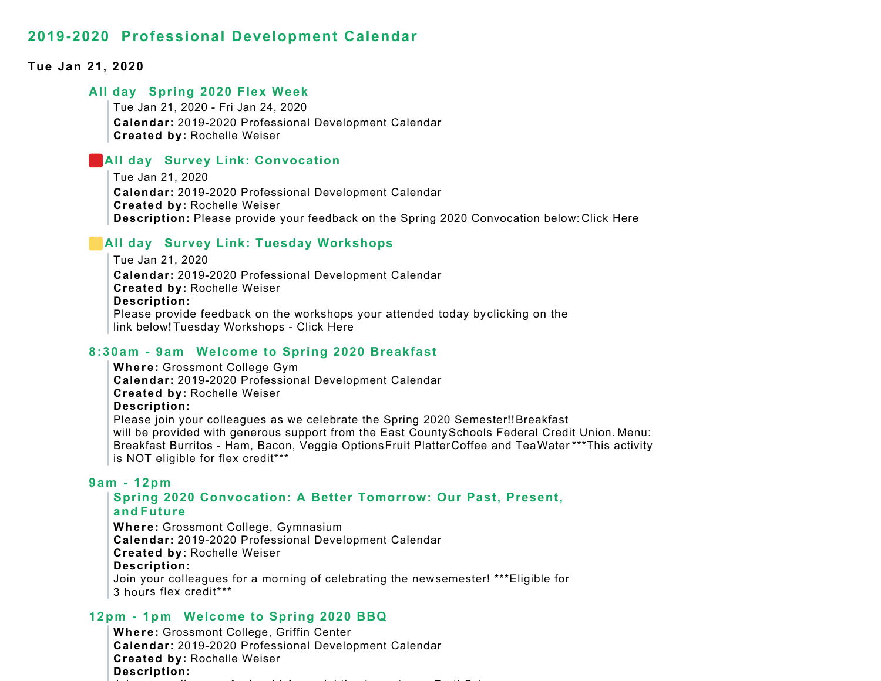#### **Tue Jan 21, 2020**

#### **All day Spring 2020 Flex Week**

Tue Jan 21, 2020 - Fri Jan 24, 2020 **Calendar:** 2019-2020 Professional Development Calendar **Created by:** Rochelle Weiser

## **All day Survey Link: Convocation**

Tue Jan 21, 2020 **Calendar:** 2019-2020 Professional Development Calendar **Created by:** Rochelle Weiser **Description:** Please provide your feedback on the Spring 2020 Convocation below: Click Here

# **All day Survey Link: Tuesday Workshops**

Tue Jan 21, 2020 **Calendar:** 2019-2020 Professional Development Calendar **Created by:** Rochelle Weiser **Description:** Please provide feedback on the workshops your attended today by clicking on the link below! Tuesday Workshops - Click Here

#### **8:30am - 9am Welcome to Spring 2020 Breakfast**

**Where:** Grossmont College Gym **Calendar:** 2019-2020 Professional Development Calendar **Created by:** Rochelle Weiser **Description:** Please join your colleagues as we celebrate the Spring 2020 Semester!!Breakfast will be provided with generous support from the East County Schools Federal Credit Union. Menu: Breakfast Burritos - Ham, Bacon, Veggie Options Fruit Platter Coffee and Tea Water \*\*\*This activity is NOT eligible for flex credit\*\*\*

#### **9am - 12pm**

# **Spring 2020 Convocation: A Better Tomorrow: Our Past, Present, and Future**

**Where:** Grossmont College, Gymnasium **Calendar:** 2019-2020 Professional Development Calendar **Created by:** Rochelle Weiser **Description:** Join your colleagues for a morning of celebrating the new semester! \*\*\*Eligible for 3 hours flex credit\*\*\*

## **12pm - 1pm Welcome to Spring 2020 BBQ**

**Where:** Grossmont College, Griffin Center **Calendar:** 2019-2020 Professional Development Calendar **Created by:** Rochelle Weiser **Description:** i la film and a set of the latter  $\mathbf{a}$  and  $\mathbf{a}$  and  $\mathbf{a}$  and  $\mathbf{a}$ i l th k t E thS i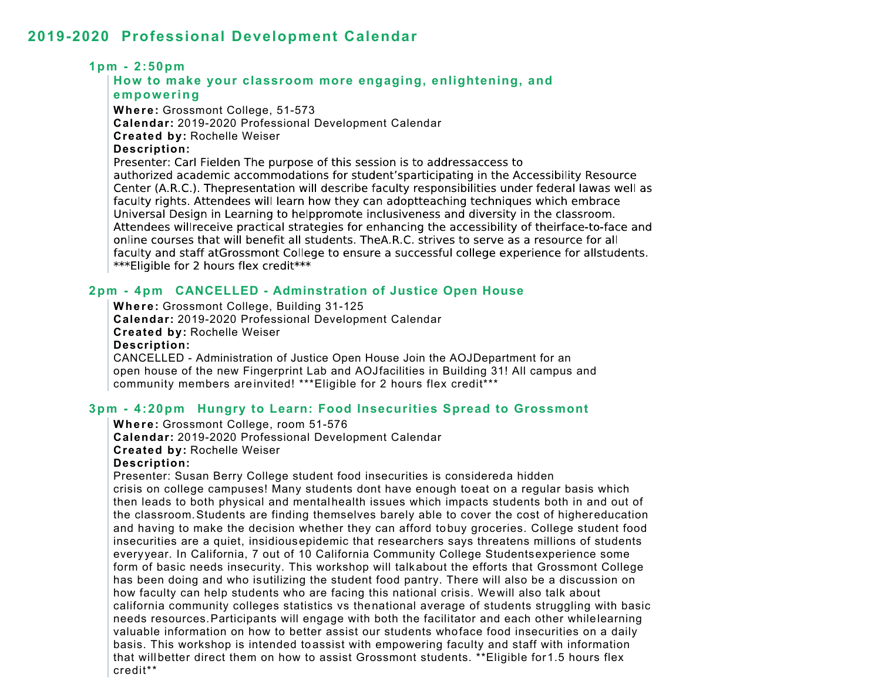## **1pm - 2:50pm**

#### **How to make your classroom more engaging, enlightening, and empowering**

**Where:** Grossmont College, 51-573 **Calendar:** 2019-2020 Professional Development Calendar **Created by:** Rochelle Weiser **Description:** Presenter: Carl Fielden The purpose of this session is to addressaccess to authorized academic accommodations for student'sparticipating in the Accessibility Resource Center (A.R.C.). Thepresentation will describe faculty responsibilities under federal lawas well as faculty rights. Attendees will learn how they can adoptteaching techniques which embrace Universal Design in Learning to helppromote inclusiveness and diversity in the classroom. Attendees willreceive practical strategies for enhancing the accessibility of theirface-to-face and online courses that will benefit all students. The A.R.C. strives to serve as a resource for all faculty and staff at Grossmont College to ensure a successful college experience for allstudents. \*\*\* Eligible for 2 hours flex credit\*\*\*

# **2pm - 4pm CANCELLED - Adminstration of Justice Open House**

**Where:** Grossmont College, Building 31-125 **Calendar:** 2019-2020 Professional Development Calendar **Created by:** Rochelle Weiser **Description:** CANCELLED - Administration of Justice Open House Join the AOJ Department for an open house of the new Fingerprint Lab and AOJ facilities in Building 31! All campus and community members are invited! \*\*\*Eligible for 2 hours flex credit\*\*\*

## **3pm - 4:20pm Hungry to Learn: Food Insecurities Spread to Grossmont**

#### **Where:** Grossmont College, room 51-576

**Calendar:** 2019-2020 Professional Development Calendar

#### **Created by:** Rochelle Weiser

#### **Description:**

Presenter: Susan Berry College student food insecurities is considereda hidden crisis on college campuses! Many students dont have enough toeat on a regular basis which then leads to both physical and mental health issues which impacts students both in and out of the classroom.Students are finding themselves barely able to cover the cost of higher education and having to make the decision whether they can afford tobuy groceries. College student food insecurities are a quiet, insidious epidemic that researchers says threatens millions of students every year. In California, 7 out of 10 California Community College Students experience some form of basic needs insecurity. This workshop will talk about the efforts that Grossmont College has been doing and who is utilizing the student food pantry. There will also be a discussion on how faculty can help students who are facing this national crisis. We will also talk about california community colleges statistics vs thenational average of students struggling with basic needs resources.Participants will engage with both the facilitator and each other while learning valuable information on how to better assist our students whoface food insecurities on a daily basis. This workshop is intended toassist with empowering faculty and staff with information that will better direct them on how to assist Grossmont students. \*\*Eligible for 1.5 hours flex credit\*\*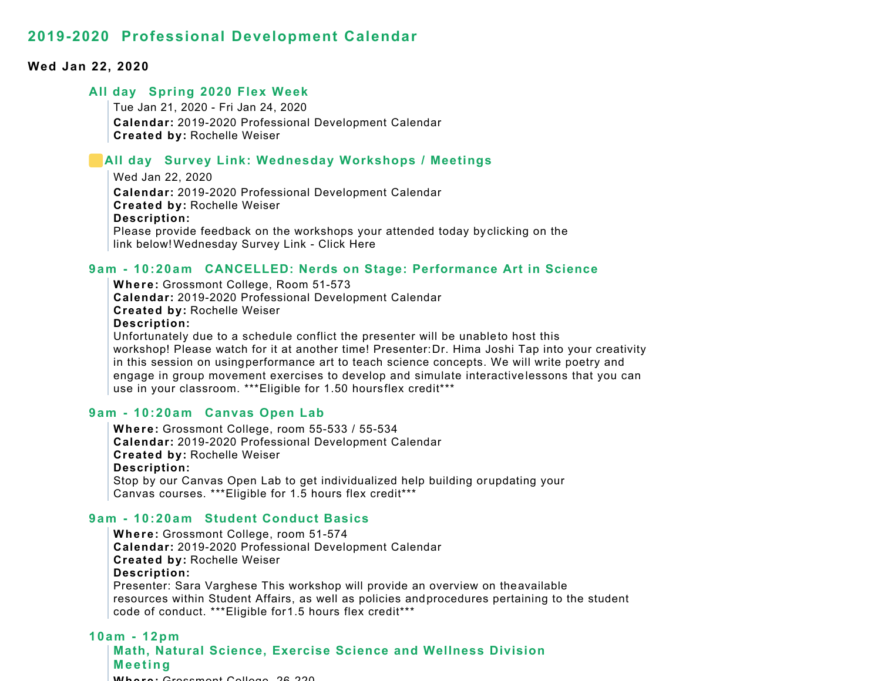#### **Wed Jan 22, 2020**

#### **All day Spring 2020 Flex Week**

Tue Jan 21, 2020 - Fri Jan 24, 2020 **Calendar:** 2019-2020 Professional Development Calendar **Created by:** Rochelle Weiser

#### **All day Survey Link: Wednesday Workshops / Meetings**

Wed Jan 22, 2020 **Calendar:** 2019-2020 Professional Development Calendar **Created by:** Rochelle Weiser **Description:** Please provide feedback on the workshops your attended today by clicking on the link below! Wednesday Survey Link - Click Here

#### **9am - 10:20am CANCELLED: Nerds on Stage: Performance Art in Science**

**Where:** Grossmont College, Room 51-573 **Calendar:** 2019-2020 Professional Development Calendar **Created by:** Rochelle Weiser **Description:** Unfortunately due to a schedule conflict the presenter will be unableto host this workshop! Please watch for it at another time! Presenter: Dr. Hima Joshi Tap into your creativity in this session on usingperformance art to teach science concepts. We will write poetry and engage in group movement exercises to develop and simulate interactive lessons that you can use in your classroom. \*\*\*Eligible for 1.50 hours flex credit\*\*\*

#### **9am - 10:20am Canvas Open Lab**

**Where:** Grossmont College, room 55-533 / 55-534 **Calendar:** 2019-2020 Professional Development Calendar **Created by:** Rochelle Weiser **Description:** Stop by our Canvas Open Lab to get individualized help building or updating your Canvas courses. \*\*\*Eligible for 1.5 hours flex credit\*\*\*

#### **9am - 10:20am Student Conduct Basics**

**Where:** Grossmont College, room 51-574 **Calendar:** 2019-2020 Professional Development Calendar **Created by:** Rochelle Weiser **Description:** Presenter: Sara Varghese This workshop will provide an overview on theavailable resources within Student Affairs, as well as policies andprocedures pertaining to the student code of conduct. \*\*\*Eligible for 1.5 hours flex credit\*\*\*

# **10am - 12pm Math, Natural Science, Exercise Science and Wellness Division M eetin g Where:** Grossmont College 26 220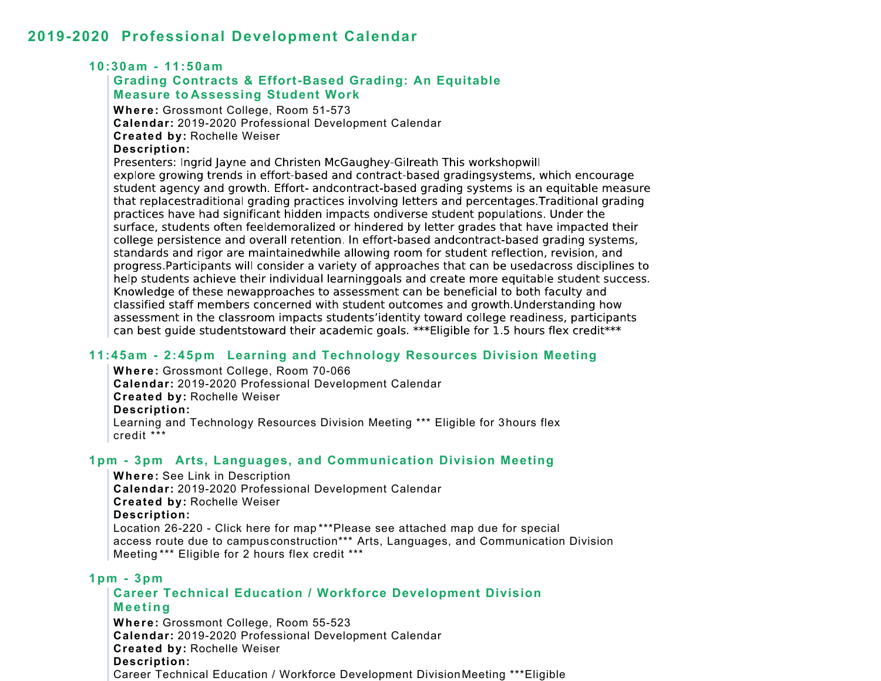## **10:30am - 11:50am**

## **Grading Contracts & Effort-Based Grading: An Equitable Measure to Assessing Student Work**

**Where:** Grossmont College, Room 51-573 **Calendar:** 2019-2020 Professional Development Calendar **Created by:** Rochelle Weiser **Description:**

Presenters: Ingrid Jayne and Christen McGaughey-Gilreath This workshopwill explore growing trends in effort-based and contract-based gradingsystems, which encourage student agency and growth. Effort- and contract-based grading systems is an equitable measure that replacestraditional grading practices involving letters and percentages. Traditional grading practices have had significant hidden impacts ondiverse student populations. Under the surface, students often feeldemoralized or hindered by letter grades that have impacted their college persistence and overall retention. In effort-based andcontract-based grading systems, standards and rigor are maintainedwhile allowing room for student reflection, revision, and progress. Participants will consider a variety of approaches that can be usedacross disciplines to help students achieve their individual learninggoals and create more equitable student success. Knowledge of these newapproaches to assessment can be beneficial to both faculty and classified staff members concerned with student outcomes and growth Understanding how assessment in the classroom impacts students'identity toward college readiness, participants can best quide studentstoward their academic goals, \*\*\*Eligible for 1.5 hours flex credit\*\*\*

# **11:45am - 2:45pm Learning and Technology Resources Division Meeting**

**Where:** Grossmont College, Room 70-066 **Calendar:** 2019-2020 Professional Development Calendar **Created by:** Rochelle Weiser **Description:** Learning and Technology Resources Division Meeting \*\*\* Eligible for 3hours flex credit \*\*\*

## **1pm - 3pm Arts, Languages, and Communication Division Meeting**

**Where:** See Link in Description **Calendar:** 2019-2020 Professional Development Calendar **Created by:** Rochelle Weiser **Description:** Location 26-220 - Click here for map \*\*\*Please see attached map due for special access route due to campusconstruction\*\*\* Arts, Languages, and Communication Division Meeting \*\*\* Eligible for 2 hours flex credit \*\*\*

## **1pm - 3pm**

# **Career Technical Education / Workforce Development Division M eetin g**

**Where:** Grossmont College, Room 55-523 **Calendar:** 2019-2020 Professional Development Calendar **Created by:** Rochelle Weiser **Description:** Career Technical Education / Workforce Development Division Meeting \*\*\*Eligible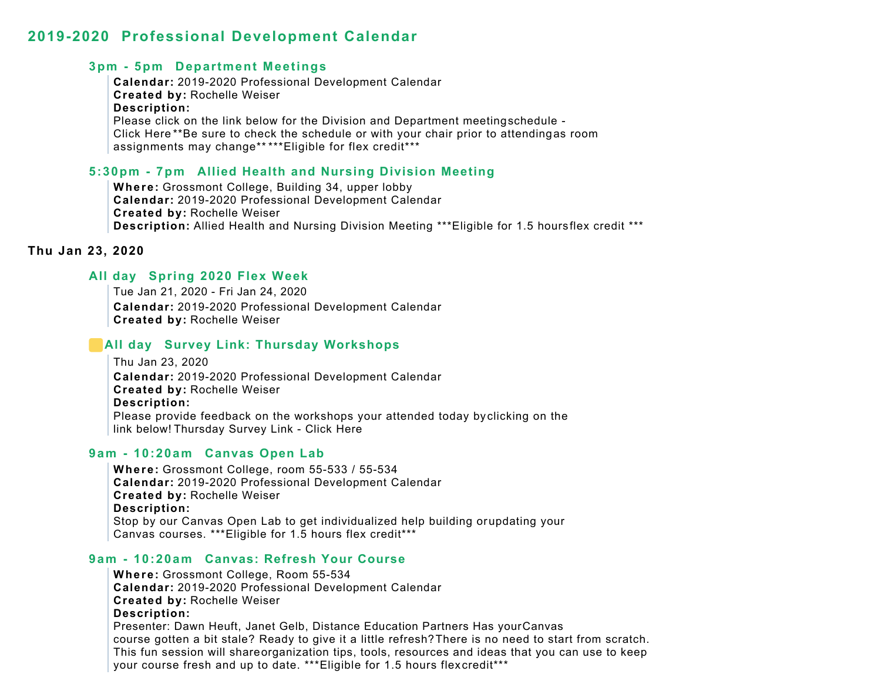#### **3pm - 5pm Department Meetings**

**Calendar:** 2019-2020 Professional Development Calendar **Created by:** Rochelle Weiser **Description:** Please click on the link below for the Division and Department meeting schedule - Click Here \*\*Be sure to check the schedule or with your chair prior to attendingas room assignments may change\*\* \*\*\*Eligible for flex credit\*\*\*

#### **5:30pm - 7pm Allied Health and Nursing Division Meeting**

**Where:** Grossmont College, Building 34, upper lobby **Calendar:** 2019-2020 Professional Development Calendar **Created by:** Rochelle Weiser **Description:** Allied Health and Nursing Division Meeting \*\*\*Eligible for 1.5 hours flex credit \*\*\*

#### **Thu Jan 23, 2020**

# **All day Spring 2020 Flex Week**

Tue Jan 21, 2020 - Fri Jan 24, 2020 **Calendar:** 2019-2020 Professional Development Calendar **Created by:** Rochelle Weiser

## **All day Survey Link: Thursday Workshops**

Thu Jan 23, 2020 **Calendar:** 2019-2020 Professional Development Calendar **Created by:** Rochelle Weiser **Description:** Please provide feedback on the workshops your attended today by clicking on the link below! Thursday Survey Link - Click Here

## **9am - 10:20am Canvas Open Lab**

**Where:** Grossmont College, room 55-533 / 55-534 **Calendar:** 2019-2020 Professional Development Calendar **Created by:** Rochelle Weiser **Description:** Stop by our Canvas Open Lab to get individualized help building or updating your Canvas courses. \*\*\*Eligible for 1.5 hours flex credit\*\*\*

#### **9am - 10:20am Canvas: Refresh Your Course**

**Where:** Grossmont College, Room 55-534 **Calendar:** 2019-2020 Professional Development Calendar **Created by:** Rochelle Weiser **Description:** Presenter: Dawn Heuft, Janet Gelb, Distance Education Partners Has your Canvas course gotten a bit stale? Ready to give it a little refresh? There is no need to start from scratch. This fun session will shareorganization tips, tools, resources and ideas that you can use to keep your course fresh and up to date. \*\*\*Eligible for 1.5 hours flex credit\*\*\*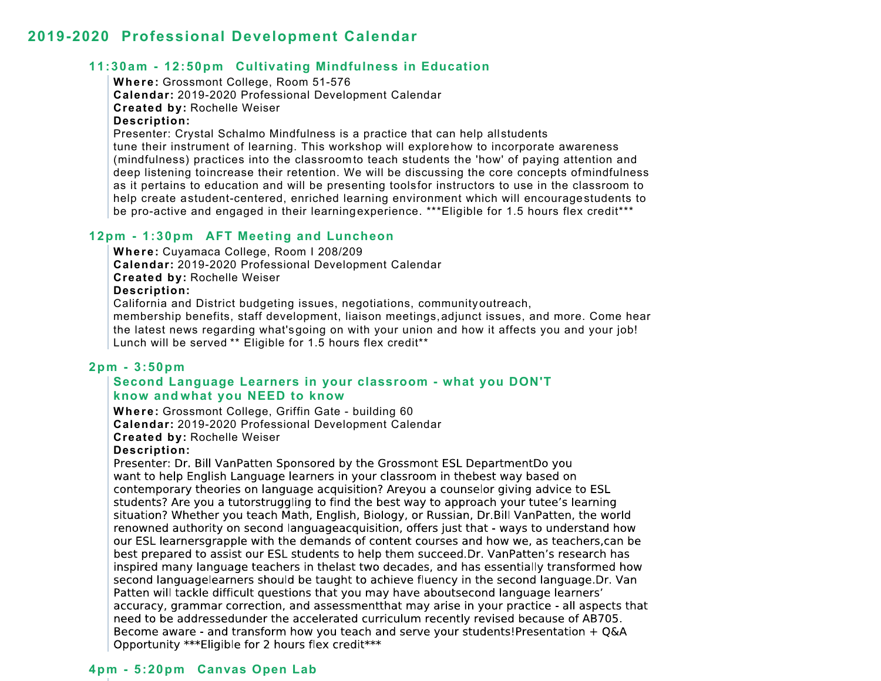# **11:30am - 12:50pm Cultivating Mindfulness in Education**

**Where:** Grossmont College, Room 51-576

**Calendar:** 2019-2020 Professional Development Calendar

**Created by:** Rochelle Weiser

#### **Description:**

Presenter: Crystal Schalmo Mindfulness is a practice that can help all students tune their instrument of learning. This workshop will explorehow to incorporate awareness (mindfulness) practices into the classroom to teach students the 'how' of paying attention and deep listening to increase their retention. We will be discussing the core concepts of mindfulness as it pertains to education and will be presenting toolsfor instructors to use in the classroom to help create a student-centered, enriched learning environment which will encourage students to be pro-active and engaged in their learningexperience. \*\*\*Eligible for 1.5 hours flex credit\*\*\*

# **12pm - 1:30pm AFT Meeting and Luncheon**

**Where:** Cuyamaca College, Room I 208/209

**Calendar:** 2019-2020 Professional Development Calendar

**Created by:** Rochelle Weiser

#### **Description:**

California and District budgeting issues, negotiations, community outreach,

membership benefits, staff development, liaison meetings,adjunct issues, and more. Come hear the latest news regarding what's going on with your union and how it affects you and your job! Lunch will be served \*\* Eligible for 1.5 hours flex credit\*\*

# **2pm - 3:50pm**

## **Second Language Learners in your classroom - what you DON'T know and what you NEED to know**

**Where:** Grossmont College, Griffin Gate - building 60 **Calendar:** 2019-2020 Professional Development Calendar **Created by:** Rochelle Weiser

## **Description:**

Presenter: Dr. Bill VanPatten Sponsored by the Grossmont ESL DepartmentDo you want to help English Language learners in your classroom in thebest way based on contemporary theories on language acquisition? Areyou a counselor giving advice to ESL students? Are you a tutorstruggling to find the best way to approach your tutee's learning situation? Whether you teach Math, English, Biology, or Russian, Dr. Bill VanPatten, the world renowned authority on second languageacquisition, offers just that - ways to understand how our ESL learnersgrapple with the demands of content courses and how we, as teachers, can be best prepared to assist our ESL students to help them succeed. Dr. VanPatten's research has inspired many language teachers in thelast two decades, and has essentially transformed how second languagelearners should be taught to achieve fluency in the second language. Dr. Van Patten will tackle difficult questions that you may have aboutsecond language learners' accuracy, grammar correction, and assessment that may arise in your practice - all aspects that need to be addressedunder the accelerated curriculum recently revised because of AB705. Become aware - and transform how you teach and serve your students! Presentation  $+$  Q&A Opportunity \*\*\* Eligible for 2 hours flex credit \*\*\*

## **4pm - 5:20pm Canvas Open Lab**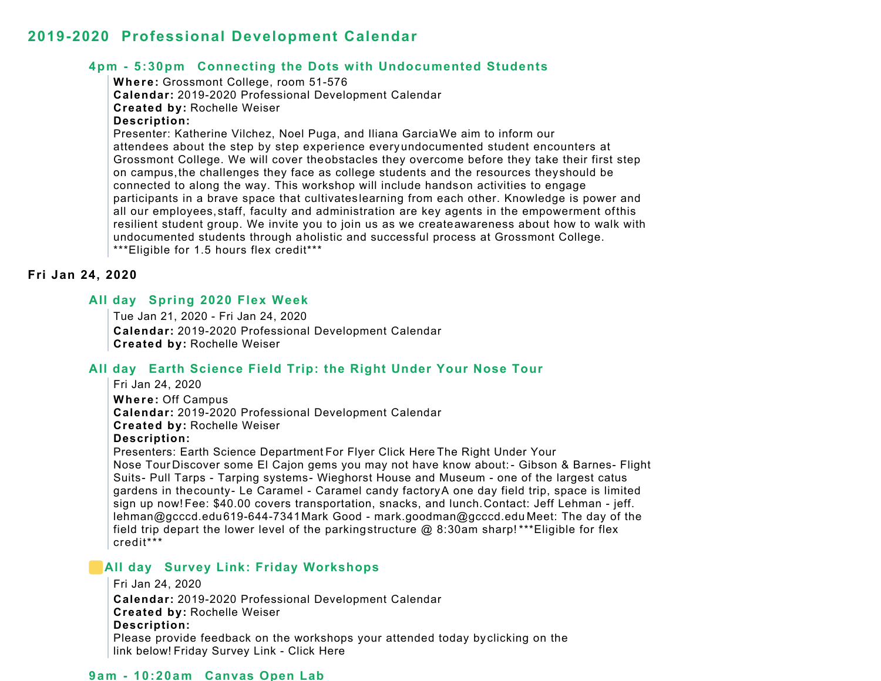#### **4pm - 5:30pm Connecting the Dots with Undocumented Students**

**Where:** Grossmont College, room 51-576

**Calendar:** 2019-2020 Professional Development Calendar

**Created by:** Rochelle Weiser

#### **Description:**

Presenter: Katherine Vilchez, Noel Puga, and Iliana Garcia We aim to inform our attendees about the step by step experience every undocumented student encounters at Grossmont College. We will cover theobstacles they overcome before they take their first step on campus,the challenges they face as college students and the resources they should be connected to along the way. This workshop will include hands on activities to engage participants in a brave space that cultivates learning from each other. Knowledge is power and all our employees, staff, faculty and administration are key agents in the empowerment ofthis resilient student group. We invite you to join us as we createawareness about how to walk with undocumented students through aholistic and successful process at Grossmont College. \*\*\*Eligible for 1.5 hours flex credit\*\*\*

#### **Fri Jan 24, 2020**

## **All day Spring 2020 Flex Week**

Tue Jan 21, 2020 - Fri Jan 24, 2020 **Calendar:** 2019-2020 Professional Development Calendar **Created by:** Rochelle Weiser

# **All day Earth Science Field Trip: the Right Under Your Nose Tour**

Fri Jan 24, 2020 **Where:** Off Campus **Calendar:** 2019-2020 Professional Development Calendar **Created by:** Rochelle Weiser **Description:** Presenters: Earth Science Department For Flyer Click Here The Right Under Your Nose Tour Discover some El Cajon gems you may not have know about: - Gibson & Barnes- Flight Suits- Pull Tarps - Tarping systems- Wieghorst House and Museum - one of the largest catus gardens in the county- Le Caramel - Caramel candy factory A one day field trip, space is limited sign up now! Fee: \$40.00 covers transportation, snacks, and lunch. Contact: Jeff Lehman - jeff. lehman@gcccd.edu619-644-7341 Mark Good - mark.goodman@gcccd.edu Meet: The day of the field trip depart the lower level of the parking structure @ 8:30am sharp! \*\*\*Eligible for flex credit\*\*\*

## **All day Survey Link: Friday Workshops**

```
Fri Jan 24, 2020
Calendar: 2019-2020 Professional Development Calendar
Created by: Rochelle Weiser
Description:
Please provide feedback on the workshops your attended today by clicking on the 
link below! Friday Survey Link - Click Here
```
#### **9am - 10:20am Canvas Open Lab**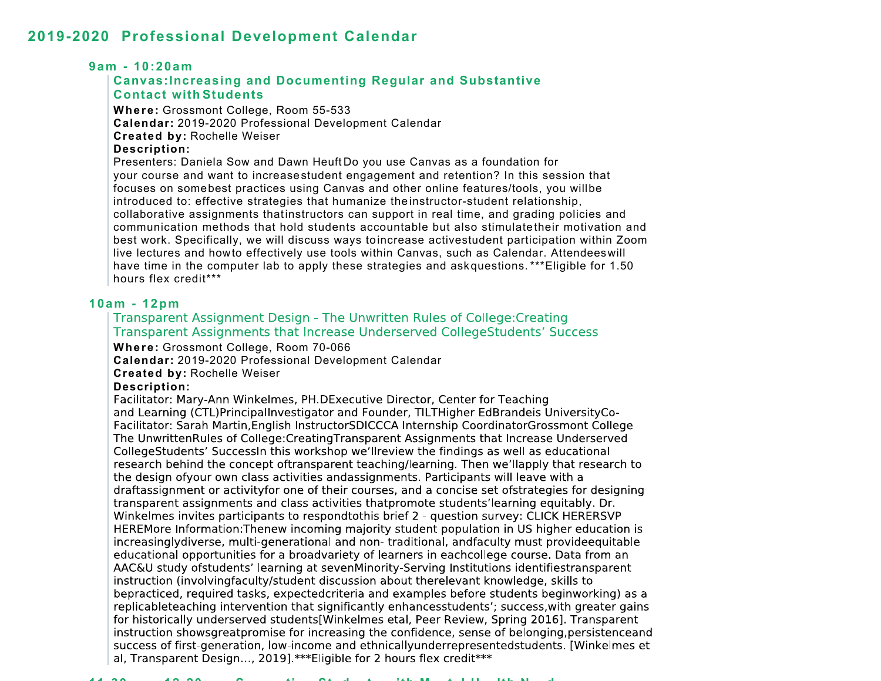#### **9am - 10:20am**

# **Canvas:Increasing and Documenting Regular and Substantive Contact with Students**

**Where:** Grossmont College, Room 55-533 **Calendar:** 2019-2020 Professional Development Calendar **Created by:** Rochelle Weiser **Description:**

Presenters: Daniela Sow and Dawn Heuft Do you use Canvas as a foundation for your course and want to increase student engagement and retention? In this session that focuses on somebest practices using Canvas and other online features/tools, you will be introduced to: effective strategies that humanize the instructor-student relationship, collaborative assignments that instructors can support in real time, and grading policies and communication methods that hold students accountable but also stimulate their motivation and best work. Specifically, we will discuss ways to increase activestudent participation within Zoom live lectures and how to effectively use tools within Canvas, such as Calendar. Attendees will have time in the computer lab to apply these strategies and ask questions. \*\*\* Eligible for 1.50 hours flex credit\*\*\*

# **10am - 12pm**

#### Transparent Assignment Design - The Unwritten Rules of College: Creating Transparent Assignments that Increase Underserved CollegeStudents' Success

**Where:** Grossmont College, Room 70-066

**Calendar:** 2019-2020 Professional Development Calendar

**Created by:** Rochelle Weiser

#### **Description:**

Facilitator: Mary-Ann Winkelmes, PH.DExecutive Director, Center for Teaching and Learning (CTL)PrincipalInvestigator and Founder, TILTHigher EdBrandeis UniversityCo-Facilitator: Sarah Martin, English Instructor SDICCCA Internship Coordinator Grossmont College The UnwrittenRules of College: Creating Transparent Assignments that Increase Underserved CollegeStudents' SuccessIn this workshop we'llreview the findings as well as educational research behind the concept oftransparent teaching/learning. Then we'llapply that research to the design of your own class activities and assignments. Participants will leave with a draftassignment or activityfor one of their courses, and a concise set ofstrategies for designing transparent assignments and class activities that promote students' learning equitably. Dr. Winkelmes invites participants to respondtothis brief 2 - question survey: CLICK HERERSVP HEREMore Information: Thenew incoming majority student population in US higher education is increasinglydiverse, multi-generational and non-traditional, andfaculty must provideequitable educational opportunities for a broadvariety of learners in eachcollege course. Data from an AAC&U study ofstudents' learning at sevenMinority-Serving Institutions identifiestransparent instruction (involvingfaculty/student discussion about therelevant knowledge, skills to bepracticed, required tasks, expectedcriteria and examples before students beginworking) as a replicableteaching intervention that significantly enhancesstudents'; success, with greater gains for historically underserved students[Winkelmes etal, Peer Review, Spring 2016]. Transparent instruction showsgreatpromise for increasing the confidence, sense of belonging, persistenceand success of first-generation, low-income and ethnicallyunderrepresentedstudents. [Winkelmes et al, Transparent Design..., 2019] \*\*\*Eligible for 2 hours flex credit \*\*\*

#### **11 30 12 20 S ti St d t ith Mt l H lth N d**